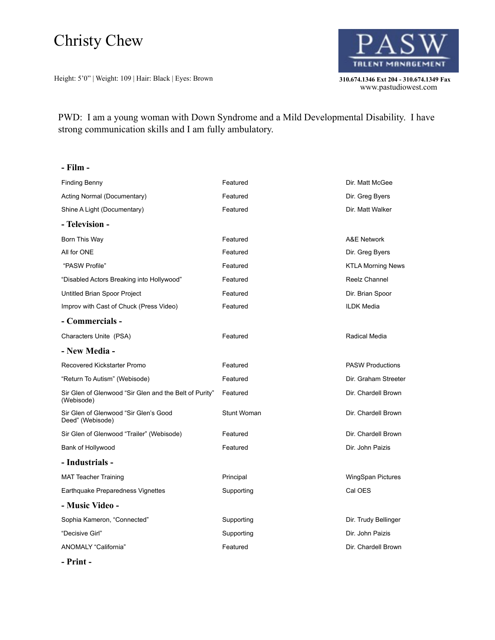## Christy Chew

Height: 5'0" | Weight: 109 | Hair: Black | Eyes: Brown **310.674.1346 Ext 204 - 310.674.1349 Fax** 



310.674.1346 Ext 204 - 310.674.1349 Fax<br>www.pastudiowest.com

PWD: I am a young woman with Down Syndrome and a Mild Developmental Disability. I have strong communication skills and I am fully ambulatory.

| - Film -                                                             |             |                          |
|----------------------------------------------------------------------|-------------|--------------------------|
| <b>Finding Benny</b>                                                 | Featured    | Dir. Matt McGee          |
| Acting Normal (Documentary)                                          | Featured    | Dir. Greg Byers          |
| Shine A Light (Documentary)                                          | Featured    | Dir. Matt Walker         |
| - Television -                                                       |             |                          |
| Born This Way                                                        | Featured    | A&E Network              |
| All for ONE                                                          | Featured    | Dir. Greg Byers          |
| "PASW Profile"                                                       | Featured    | <b>KTLA Morning News</b> |
| "Disabled Actors Breaking into Hollywood"                            | Featured    | Reelz Channel            |
| Untitled Brian Spoor Project                                         | Featured    | Dir. Brian Spoor         |
| Improv with Cast of Chuck (Press Video)                              | Featured    | <b>ILDK Media</b>        |
| - Commercials -                                                      |             |                          |
| Characters Unite (PSA)                                               | Featured    | Radical Media            |
| - New Media -                                                        |             |                          |
| Recovered Kickstarter Promo                                          | Featured    | <b>PASW Productions</b>  |
| "Return To Autism" (Webisode)                                        | Featured    | Dir. Graham Streeter     |
| Sir Glen of Glenwood "Sir Glen and the Belt of Purity"<br>(Webisode) | Featured    | Dir. Chardell Brown      |
| Sir Glen of Glenwood "Sir Glen's Good<br>Deed" (Webisode)            | Stunt Woman | Dir. Chardell Brown      |
| Sir Glen of Glenwood "Trailer" (Webisode)                            | Featured    | Dir. Chardell Brown      |
| Bank of Hollywood                                                    | Featured    | Dir. John Paizis         |
| - Industrials -                                                      |             |                          |
| <b>MAT Teacher Training</b>                                          | Principal   | WingSpan Pictures        |
| Earthquake Preparedness Vignettes                                    | Supporting  | Cal OES                  |
| - Music Video -                                                      |             |                          |
| Sophia Kameron, "Connected"                                          | Supporting  | Dir. Trudy Bellinger     |
| "Decisive Girl"                                                      | Supporting  | Dir. John Paizis         |
| ANOMALY "California"                                                 | Featured    | Dir. Chardell Brown      |

**- Print -**